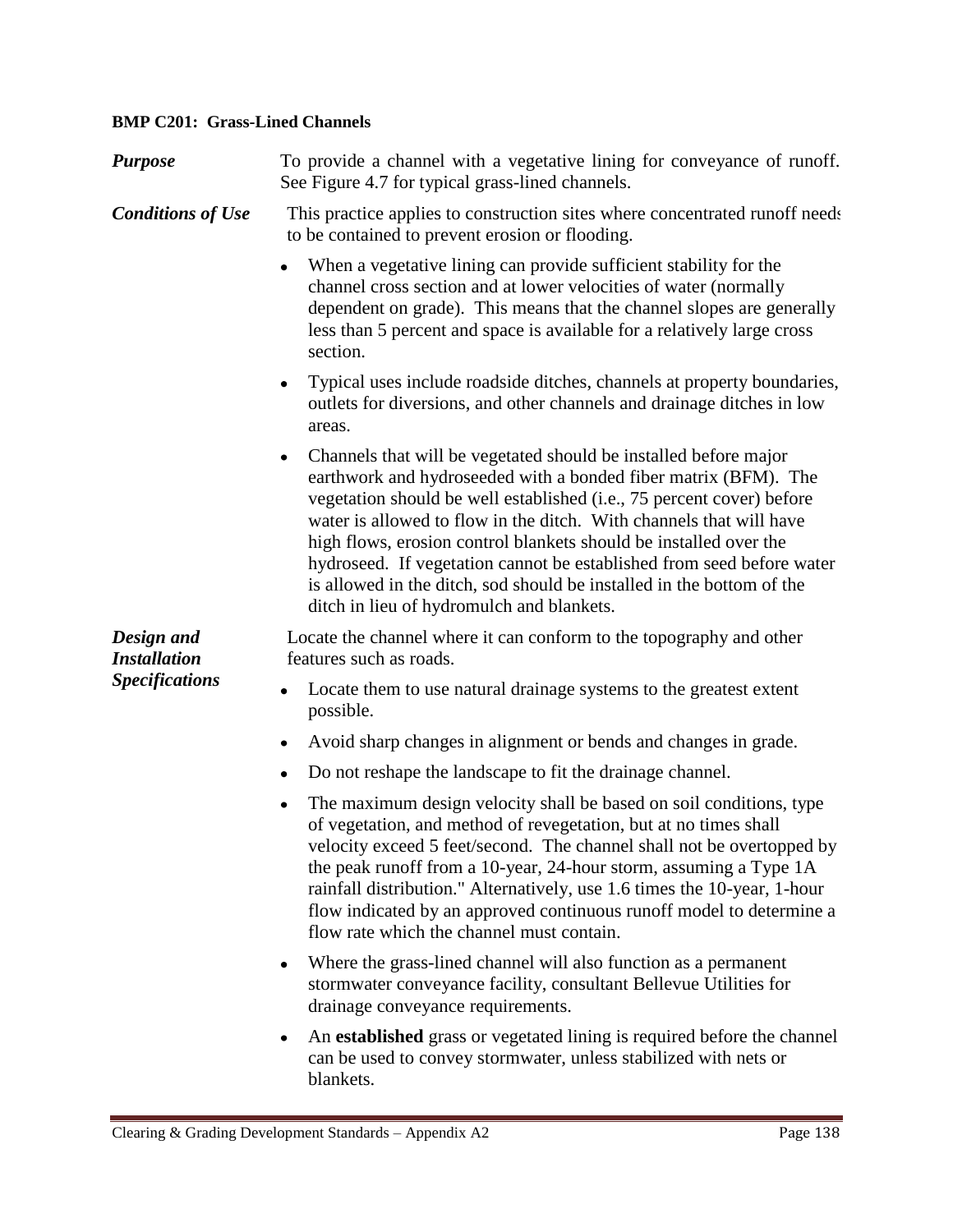## **BMP C201: Grass-Lined Channels**

| <b>Purpose</b>                                             | To provide a channel with a vegetative lining for conveyance of runoff.<br>See Figure 4.7 for typical grass-lined channels.                                                                                                                                                                                                                                                                                                                                                                                                                                  |
|------------------------------------------------------------|--------------------------------------------------------------------------------------------------------------------------------------------------------------------------------------------------------------------------------------------------------------------------------------------------------------------------------------------------------------------------------------------------------------------------------------------------------------------------------------------------------------------------------------------------------------|
| <b>Conditions of Use</b>                                   | This practice applies to construction sites where concentrated runoff needs<br>to be contained to prevent erosion or flooding.                                                                                                                                                                                                                                                                                                                                                                                                                               |
|                                                            | When a vegetative lining can provide sufficient stability for the<br>channel cross section and at lower velocities of water (normally<br>dependent on grade). This means that the channel slopes are generally<br>less than 5 percent and space is available for a relatively large cross<br>section.                                                                                                                                                                                                                                                        |
|                                                            | Typical uses include roadside ditches, channels at property boundaries,<br>٠<br>outlets for diversions, and other channels and drainage ditches in low<br>areas.                                                                                                                                                                                                                                                                                                                                                                                             |
|                                                            | Channels that will be vegetated should be installed before major<br>٠<br>earthwork and hydroseeded with a bonded fiber matrix (BFM). The<br>vegetation should be well established (i.e., 75 percent cover) before<br>water is allowed to flow in the ditch. With channels that will have<br>high flows, erosion control blankets should be installed over the<br>hydroseed. If vegetation cannot be established from seed before water<br>is allowed in the ditch, sod should be installed in the bottom of the<br>ditch in lieu of hydromulch and blankets. |
| Design and<br><b>Installation</b><br><b>Specifications</b> | Locate the channel where it can conform to the topography and other<br>features such as roads.                                                                                                                                                                                                                                                                                                                                                                                                                                                               |
|                                                            | Locate them to use natural drainage systems to the greatest extent<br>٠<br>possible.                                                                                                                                                                                                                                                                                                                                                                                                                                                                         |
|                                                            | Avoid sharp changes in alignment or bends and changes in grade.<br>٠                                                                                                                                                                                                                                                                                                                                                                                                                                                                                         |
|                                                            | Do not reshape the landscape to fit the drainage channel.<br>٠                                                                                                                                                                                                                                                                                                                                                                                                                                                                                               |
|                                                            | The maximum design velocity shall be based on soil conditions, type<br>$\bullet$<br>of vegetation, and method of revegetation, but at no times shall<br>velocity exceed 5 feet/second. The channel shall not be overtopped by<br>the peak runoff from a 10-year, 24-hour storm, assuming a Type 1A<br>rainfall distribution." Alternatively, use 1.6 times the 10-year, 1-hour<br>flow indicated by an approved continuous runoff model to determine a<br>flow rate which the channel must contain.                                                          |
|                                                            | Where the grass-lined channel will also function as a permanent<br>٠<br>stormwater conveyance facility, consultant Bellevue Utilities for<br>drainage conveyance requirements.                                                                                                                                                                                                                                                                                                                                                                               |
|                                                            | An established grass or vegetated lining is required before the channel<br>$\bullet$<br>can be used to convey stormwater, unless stabilized with nets or<br>blankets.                                                                                                                                                                                                                                                                                                                                                                                        |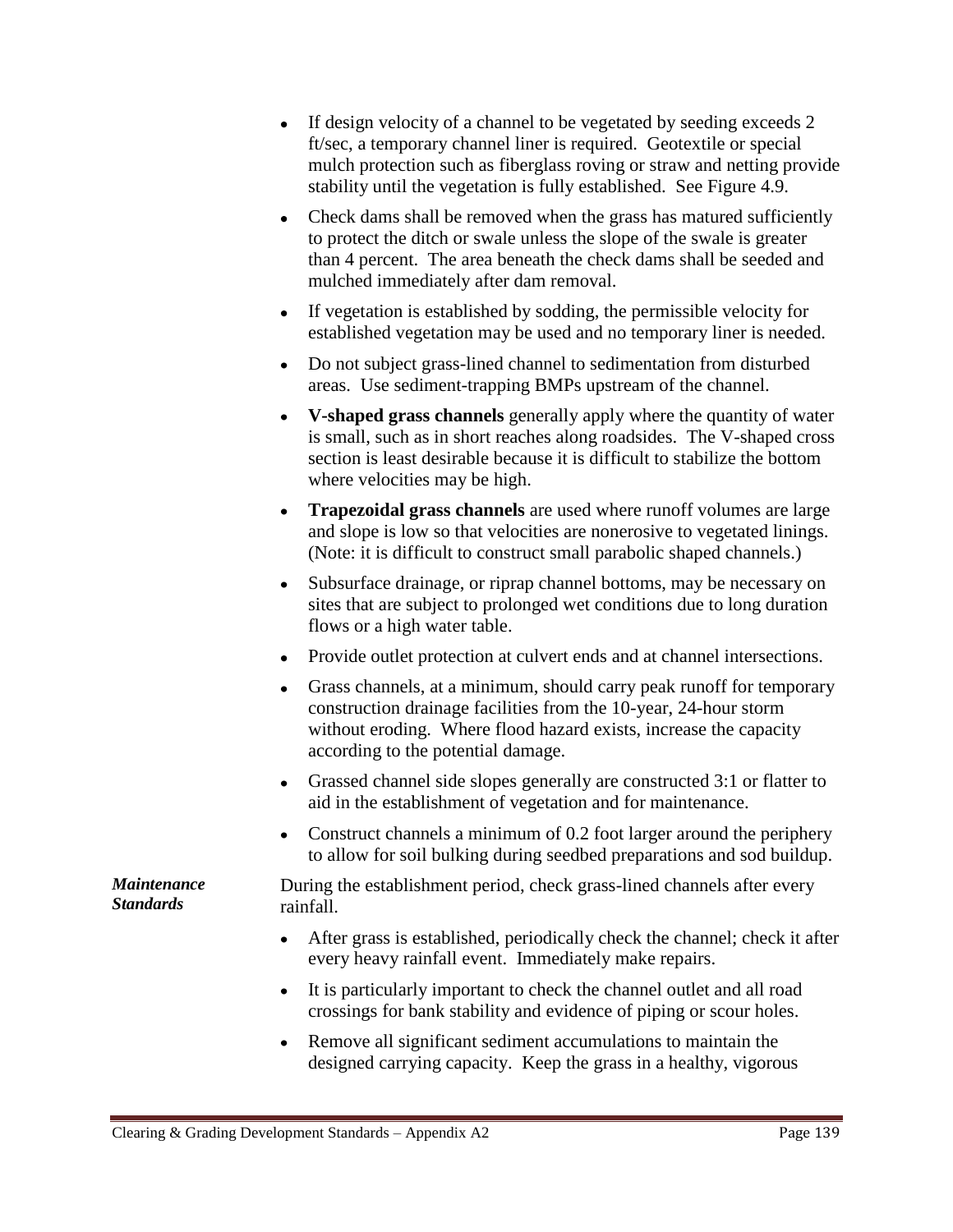- If design velocity of a channel to be vegetated by seeding exceeds 2 ft/sec, a temporary channel liner is required. Geotextile or special mulch protection such as fiberglass roving or straw and netting provide stability until the vegetation is fully established. See Figure 4.9.
- Check dams shall be removed when the grass has matured sufficiently to protect the ditch or swale unless the slope of the swale is greater than 4 percent. The area beneath the check dams shall be seeded and mulched immediately after dam removal.
- If vegetation is established by sodding, the permissible velocity for established vegetation may be used and no temporary liner is needed.
- Do not subject grass-lined channel to sedimentation from disturbed areas. Use sediment-trapping BMPs upstream of the channel.
- **V-shaped grass channels** generally apply where the quantity of water is small, such as in short reaches along roadsides. The V-shaped cross section is least desirable because it is difficult to stabilize the bottom where velocities may be high.
- **Trapezoidal grass channels** are used where runoff volumes are large and slope is low so that velocities are nonerosive to vegetated linings. (Note: it is difficult to construct small parabolic shaped channels.)
- Subsurface drainage, or riprap channel bottoms, may be necessary on sites that are subject to prolonged wet conditions due to long duration flows or a high water table.
- Provide outlet protection at culvert ends and at channel intersections.
- Grass channels, at a minimum, should carry peak runoff for temporary construction drainage facilities from the 10-year, 24-hour storm without eroding. Where flood hazard exists, increase the capacity according to the potential damage.
- Grassed channel side slopes generally are constructed 3:1 or flatter to aid in the establishment of vegetation and for maintenance.
- Construct channels a minimum of 0.2 foot larger around the periphery to allow for soil bulking during seedbed preparations and sod buildup.

*Maintenance Standards* During the establishment period, check grass-lined channels after every rainfall.

- After grass is established, periodically check the channel; check it after every heavy rainfall event. Immediately make repairs.
- It is particularly important to check the channel outlet and all road crossings for bank stability and evidence of piping or scour holes.
- Remove all significant sediment accumulations to maintain the designed carrying capacity. Keep the grass in a healthy, vigorous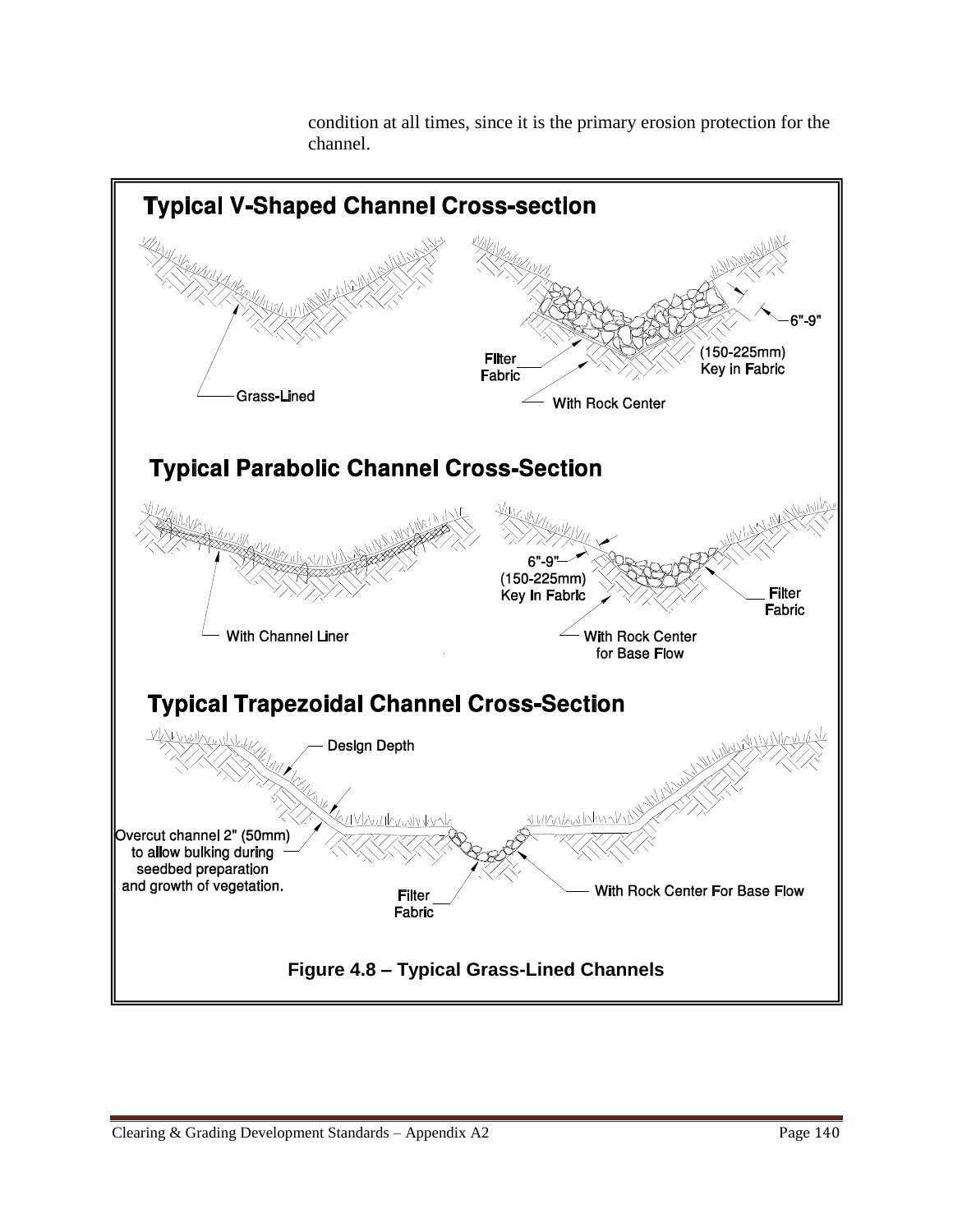

condition at all times, since it is the primary erosion protection for the channel.